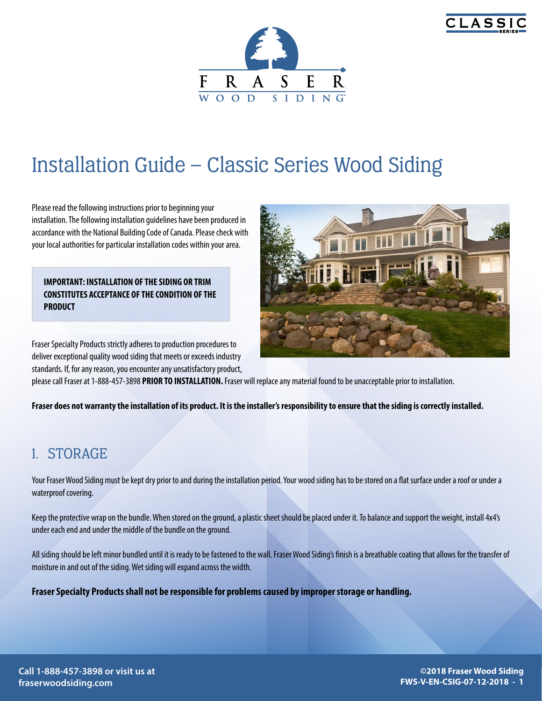



# Installation Guide – Classic Series Wood Siding

Please read the following instructions prior to beginning your installation. The following installation guidelines have been produced in accordance with the National Building Code of Canada. Please check with your local authorities for particular installation codes within your area.

**IMPORTANT: INSTALLATION OF THE SIDING OR TRIM CONSTITUTES ACCEPTANCE OF THE CONDITION OF THE PRODUCT**

Fraser Specialty Products strictly adheres to production procedures to deliver exceptional quality wood siding that meets or exceeds industry standards. If, for any reason, you encounter any unsatisfactory product,



please call Fraser at 1-888-457-3898 **PRIOR TO INSTALLATION.** Fraser will replace any material found to be unacceptable prior to installation.

**Fraser does not warranty the installation of its product. It is the installer's responsibility to ensure that the siding is correctly installed.**

### 1. STORAGE

Your Fraser Wood Siding must be kept dry prior to and during the installation period. Your wood siding has to be stored on a flat surface under a roof or under a waterproof covering.

Keep the protective wrap on the bundle. When stored on the ground, a plastic sheet should be placed under it. To balance and support the weight, install 4x4's under each end and under the middle of the bundle on the ground.

All siding should be left minor bundled until it is ready to be fastened to the wall. Fraser Wood Siding's finish is a breathable coating that allows for the transfer of moisture in and out of the siding. Wet siding will expand across the width.

**Fraser Specialty Products shall not be responsible for problems caused by improper storage or handling.**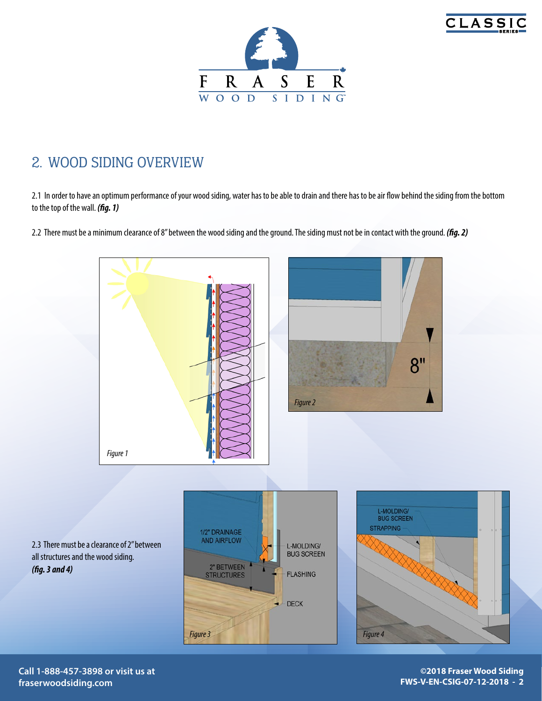



### 2. WOOD SIDING OVERVIEW

2.1 In order to have an optimum performance of your wood siding, water has to be able to drain and there has to be air flow behind the siding from the bottom to the top of the wall. *(fig. 1)*

2.2 There must be a minimum clearance of 8'' between the wood siding and the ground. The siding must not be in contact with the ground. *(fig. 2)*



**Call 1-888-457-3898 or visit us at fraserwoodsiding.com**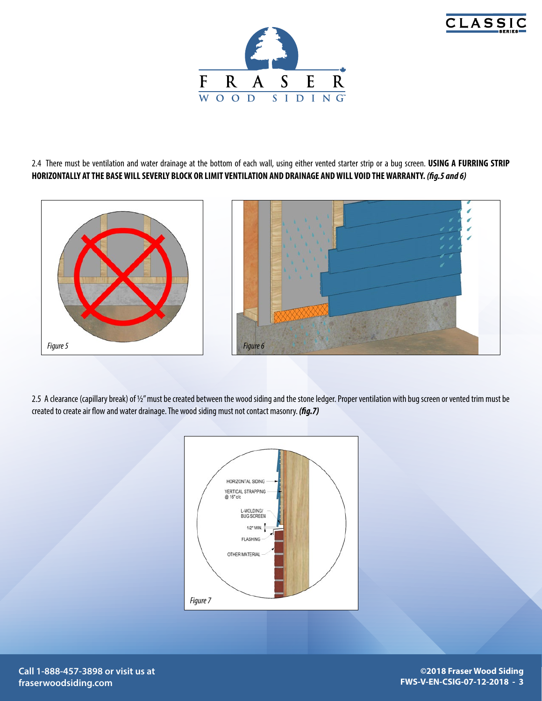



2.4 There must be ventilation and water drainage at the bottom of each wall, using either vented starter strip or a bug screen. **USING A FURRING STRIP HORIZONTALLY AT THE BASE WILL SEVERLY BLOCK OR LIMIT VENTILATION AND DRAINAGE AND WILL VOID THE WARRANTY.** *(fig.5 and 6)*



2.5 A clearance (capillary break) of 1/2" must be created between the wood siding and the stone ledger. Proper ventilation with bug screen or vented trim must be created to create air flow and water drainage. The wood siding must not contact masonry. *(fig.7)*



**Call 1-888-457-3898 or visit us at fraserwoodsiding.com**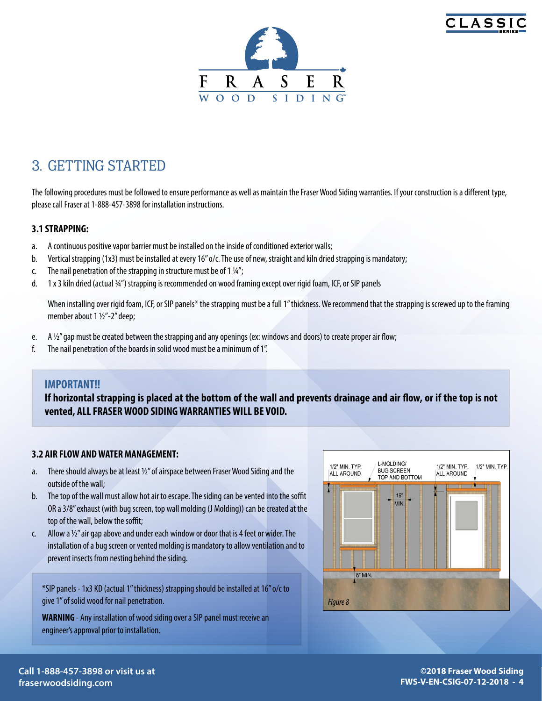



## 3. GETTING STARTED

The following procedures must be followed to ensure performance as well as maintain the Fraser Wood Siding warranties. If your construction is a different type, please call Fraser at 1-888-457-3898 for installation instructions.

#### **3.1 STRAPPING:**

- a. A continuous positive vapor barrier must be installed on the inside of conditioned exterior walls;
- b. Vertical strapping (1x3) must be installed at every 16" o/c. The use of new, straight and kiln dried strapping is mandatory;
- c. The nail penetration of the strapping in structure must be of 1 $\frac{1}{4}$ ;
- d. 1 x 3 kiln dried (actual ¾") strapping is recommended on wood framing except over rigid foam, ICF, or SIP panels

When installing over rigid foam, ICF, or SIP panels\* the strapping must be a full 1" thickness. We recommend that the strapping is screwed up to the framing member about 1 1/2"-2" deep;

- e. A  $\frac{1}{2}$ " gap must be created between the strapping and any openings (ex: windows and doors) to create proper air flow;
- f. The nail penetration of the boards in solid wood must be a minimum of 1''.

#### **IMPORTANT!!**

**If horizontal strapping is placed at the bottom of the wall and prevents drainage and air flow, or if the top is not vented, ALL FRASER WOOD SIDING WARRANTIES WILL BE VOID.**

#### **3.2 AIR FLOW AND WATER MANAGEMENT:**

- a. There should always be at least 1/2" of airspace between Fraser Wood Siding and the outside of the wall;
- b. The top of the wall must allow hot air to escape. The siding can be vented into the soffit OR a 3/8" exhaust (with bug screen, top wall molding (J Molding)) can be created at the top of the wall, below the soffit;
- c. Allow a  $\frac{1}{2}$ " air gap above and under each window or door that is 4 feet or wider. The installation of a bug screen or vented molding is mandatory to allow ventilation and to prevent insects from nesting behind the siding.

\*SIP panels - 1x3 KD (actual 1'' thickness) strapping should be installed at 16'' o/c to give 1'' of solid wood for nail penetration.

**WARNING** - Any installation of wood siding over a SIP panel must receive an engineer's approval prior to installation.

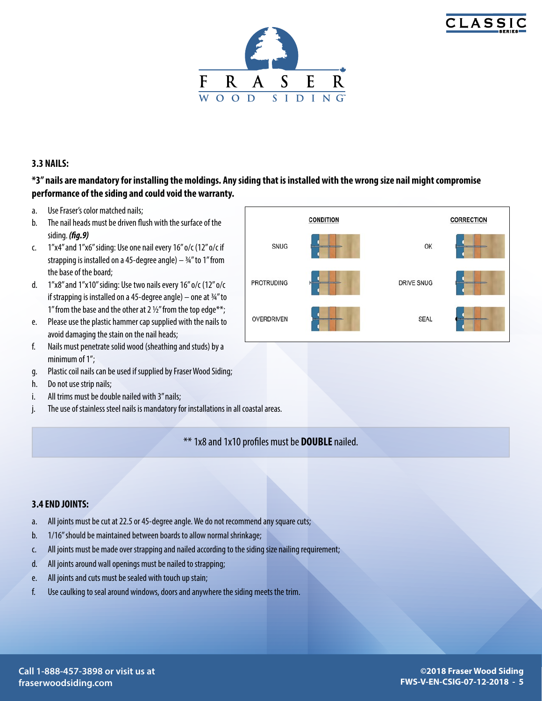



#### **3.3 NAILS:**

#### **\*3'' nails are mandatory for installing the moldings. Any siding that is installed with the wrong size nail might compromise performance of the siding and could void the warranty.**

- a. Use Fraser's color matched nails;
- b. The nail heads must be driven flush with the surface of the siding. *(fig.9)*
- c. 1"x4" and 1"x6" siding: Use one nail every 16" o/c (12" o/c if strapping is installed on a 45-degree angle)  $-$  34" to 1" from the base of the board;
- d. 1"x8" and 1"x10" siding: Use two nails every 16" o/c (12" o/c if strapping is installed on a 45-degree angle) – one at  $\frac{3}{4}$ " to 1" from the base and the other at 2  $1/2$ " from the top edge\*\*;
- e. Please use the plastic hammer cap supplied with the nails to avoid damaging the stain on the nail heads;
- f. Nails must penetrate solid wood (sheathing and studs) by a minimum of 1";
- g. Plastic coil nails can be used if supplied by Fraser Wood Siding;
- h. Do not use strip nails;
- i. All trims must be double nailed with 3" nails;
- j. The use of stainless steel nails is mandatory for installations in all coastal areas.

\*\* 1x8 and 1x10 profiles must be **DOUBLE** nailed.

#### **3.4 END JOINTS:**

- a. All joints must be cut at 22.5 or 45-degree angle. We do not recommend any square cuts;
- b. 1/16'' should be maintained between boards to allow normal shrinkage;
- c. All joints must be made over strapping and nailed according to the siding size nailing requirement;
- d. All joints around wall openings must be nailed to strapping;
- e. All joints and cuts must be sealed with touch up stain;
- f. Use caulking to seal around windows, doors and anywhere the siding meets the trim.

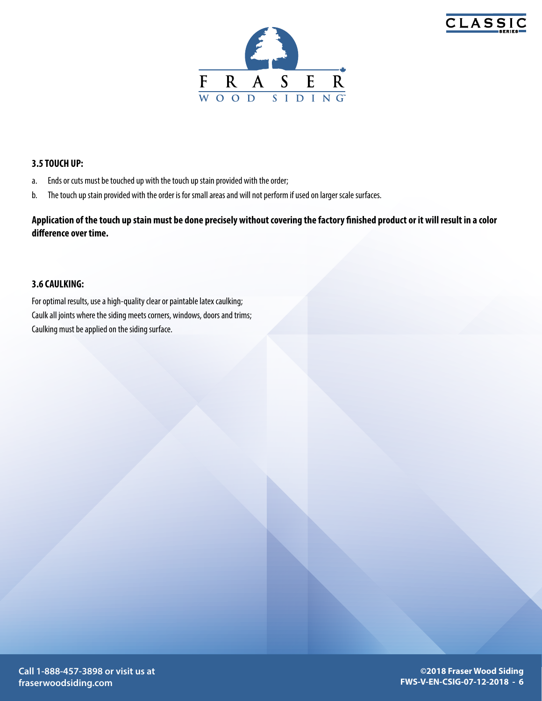



#### **3.5 TOUCH UP:**

- a. Ends or cuts must be touched up with the touch up stain provided with the order;
- b. The touch up stain provided with the order is for small areas and will not perform if used on larger scale surfaces.

**Application of the touch up stain must be done precisely without covering the factory finished product or it will result in a color difference over time.** 

#### **3.6 CAULKING:**

For optimal results, use a high-quality clear or paintable latex caulking; Caulk all joints where the siding meets corners, windows, doors and trims; Caulking must be applied on the siding surface.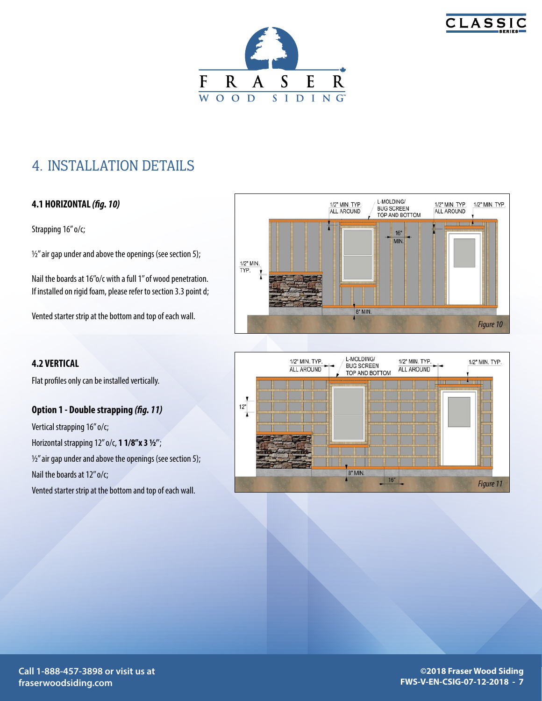



### 4. INSTALLATION DETAILS

#### **4.1 HORIZONTAL** *(fig. 10)*

Strapping 16" o/c;

 $\frac{1}{2}$ " air gap under and above the openings (see section 5);

Nail the boards at 16"o/c with a full 1" of wood penetration. If installed on rigid foam, please refer to section 3.3 point d;

Vented starter strip at the bottom and top of each wall.

#### **4.2 VERTICAL**

Flat profiles only can be installed vertically.

#### **Option 1 - Double strapping** *(fig. 11)*

Vertical strapping 16" o/c; Horizontal strapping 12'' o/c, **1 1/8''x 3 ½'**';  $\frac{1}{2}$ " air gap under and above the openings (see section 5); Nail the boards at 12" o/c; Vented starter strip at the bottom and top of each wall.

L-MOLDING/ 1/2" MIN. TYP. 1/2" MIN. TYP. 1/2" MIN. TYP **BUG SCREEN** ALL AROUND ALL AROUND TOP AND BOTTOM  $16"$ MIN.  $\frac{1}{2}$ " MIN. 8" MIN. *Figure 10*

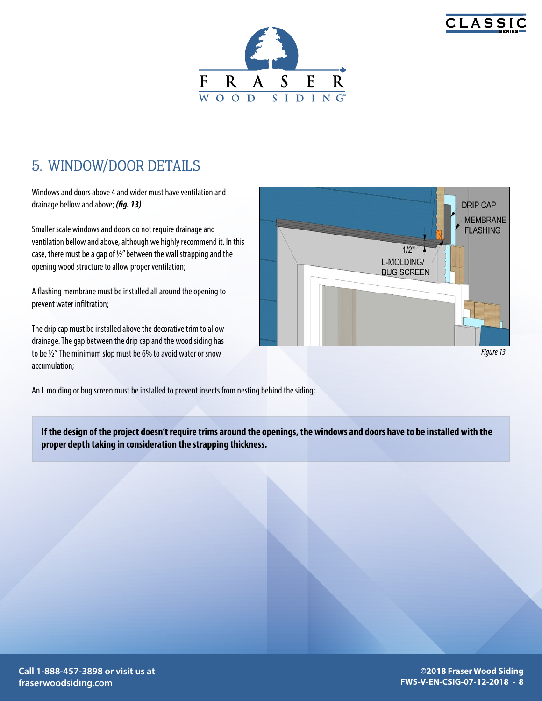



### 5. WINDOW/DOOR DETAILS

Windows and doors above 4 and wider must have ventilation and drainage bellow and above; *(fig. 13)*

Smaller scale windows and doors do not require drainage and ventilation bellow and above, although we highly recommend it. In this case, there must be a gap of ½'' between the wall strapping and the opening wood structure to allow proper ventilation;

A flashing membrane must be installed all around the opening to prevent water infiltration;

The drip cap must be installed above the decorative trim to allow drainage. The gap between the drip cap and the wood siding has to be ½''. The minimum slop must be 6% to avoid water or snow accumulation;



*Figure 13*

An L molding or bug screen must be installed to prevent insects from nesting behind the siding;

**If the design of the project doesn't require trims around the openings, the windows and doors have to be installed with the proper depth taking in consideration the strapping thickness.**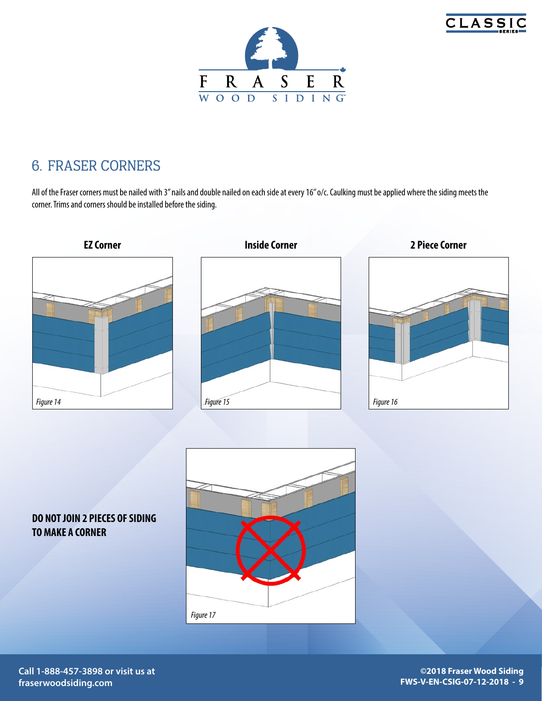



### 6. FRASER CORNERS

All of the Fraser corners must be nailed with 3" nails and double nailed on each side at every 16" o/c. Caulking must be applied where the siding meets the corner. Trims and corners should be installed before the siding.



### **DO NOT JOIN 2 PIECES OF SIDING TO MAKE A CORNER**



**Call 1-888-457-3898 or visit us at fraserwoodsiding.com**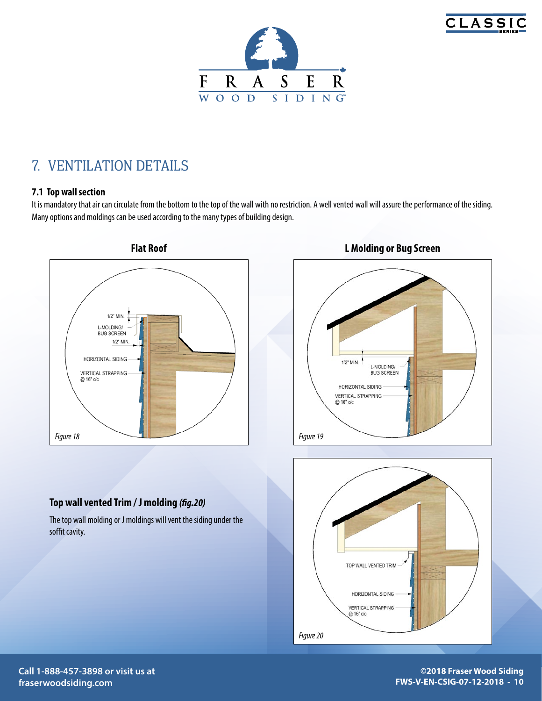



### 7. VENTILATION DETAILS

#### **7.1 Top wall section**

It is mandatory that air can circulate from the bottom to the top of the wall with no restriction. A well vented wall will assure the performance of the siding. Many options and moldings can be used according to the many types of building design.







#### **Top wall vented Trim / J molding** *(fig.20)*

The top wall molding or J moldings will vent the siding under the soffit cavity.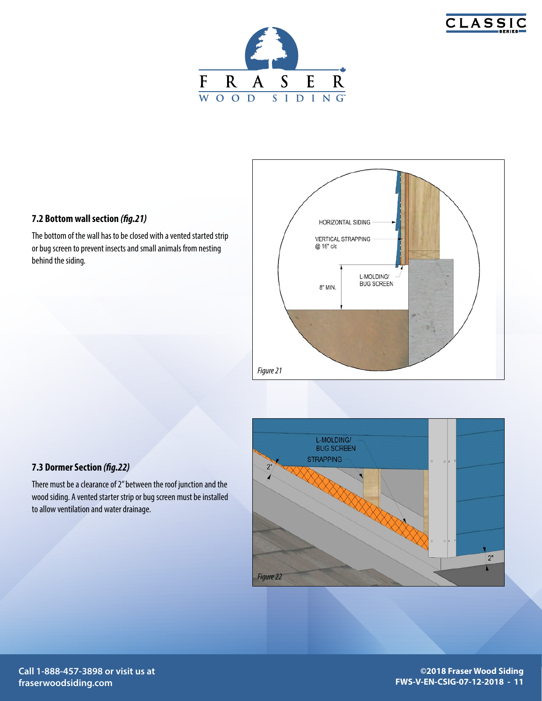





The bottom of the wall has to be closed with a vented started strip or bug screen to prevent insects and small animals from nesting behind the siding.





There must be a clearance of 2'' between the roof junction and the wood siding. A vented starter strip or bug screen must be installed to allow ventilation and water drainage.